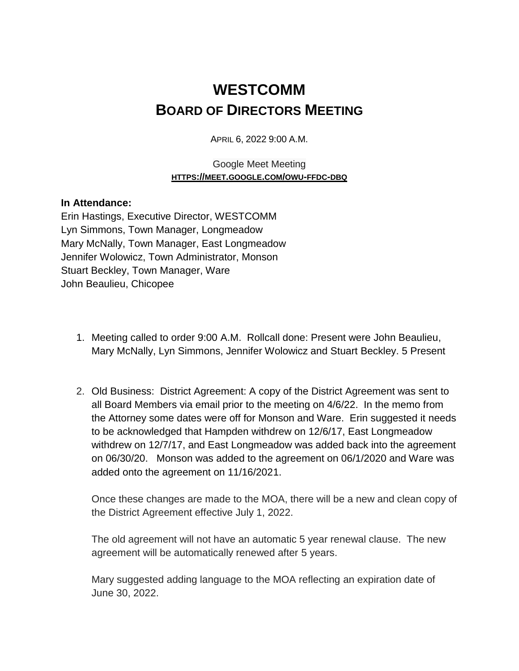## **WESTCOMM BOARD OF DIRECTORS MEETING**

APRIL 6, 2022 9:00 A.M.

## Google Meet Meeting **HTTPS://MEET.GOOGLE.COM/OWU-FFDC-DBQ**

## **In Attendance:**

Erin Hastings, Executive Director, WESTCOMM Lyn Simmons, Town Manager, Longmeadow Mary McNally, Town Manager, East Longmeadow Jennifer Wolowicz, Town Administrator, Monson Stuart Beckley, Town Manager, Ware John Beaulieu, Chicopee

- 1. Meeting called to order 9:00 A.M. Rollcall done: Present were John Beaulieu, Mary McNally, Lyn Simmons, Jennifer Wolowicz and Stuart Beckley. 5 Present
- 2. Old Business: District Agreement: A copy of the District Agreement was sent to all Board Members via email prior to the meeting on 4/6/22. In the memo from the Attorney some dates were off for Monson and Ware. Erin suggested it needs to be acknowledged that Hampden withdrew on 12/6/17, East Longmeadow withdrew on 12/7/17, and East Longmeadow was added back into the agreement on 06/30/20. Monson was added to the agreement on 06/1/2020 and Ware was added onto the agreement on 11/16/2021.

Once these changes are made to the MOA, there will be a new and clean copy of the District Agreement effective July 1, 2022.

The old agreement will not have an automatic 5 year renewal clause. The new agreement will be automatically renewed after 5 years.

Mary suggested adding language to the MOA reflecting an expiration date of June 30, 2022.